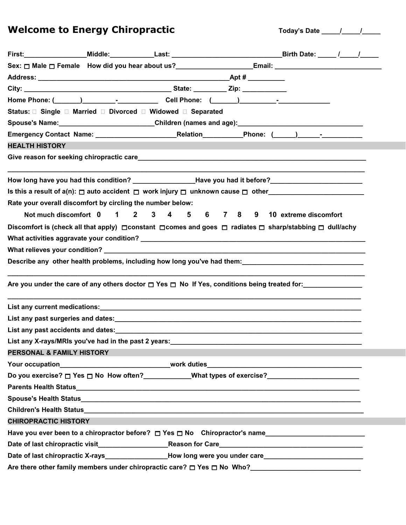**Welcome to Energy Chiropractic Today's Date \_\_\_\_\_/\_\_\_\_\_/\_\_\_\_\_**

|                             |                                                            |  | Sex: □ Male □ Female How did you hear about us? _________________________________                                                 |  |  |
|-----------------------------|------------------------------------------------------------|--|-----------------------------------------------------------------------------------------------------------------------------------|--|--|
|                             |                                                            |  |                                                                                                                                   |  |  |
|                             |                                                            |  |                                                                                                                                   |  |  |
|                             |                                                            |  | Home Phone: (______)_________________________Cell Phone: (______)_______________                                                  |  |  |
|                             |                                                            |  |                                                                                                                                   |  |  |
|                             |                                                            |  | Spouse's Name:___________________________Children (names and age):__________________________________                              |  |  |
|                             |                                                            |  |                                                                                                                                   |  |  |
| <b>HEALTH HISTORY</b>       |                                                            |  |                                                                                                                                   |  |  |
|                             |                                                            |  |                                                                                                                                   |  |  |
|                             |                                                            |  | How long have you had this condition? __________________Have you had it before?_____________________                              |  |  |
|                             |                                                            |  | Is this a result of a(n): $\square$ auto accident $\square$ work injury $\square$ unknown cause $\square$ other                   |  |  |
|                             | Rate your overall discomfort by circling the number below: |  |                                                                                                                                   |  |  |
|                             |                                                            |  | Not much discomfort 0 1 2 3 4 5 6 7 8 9 10 extreme discomfort                                                                     |  |  |
|                             |                                                            |  | Discomfort is (check all that apply) $\Box$ constant $\Box$ comes and goes $\Box$ radiates $\Box$ sharp/stabbing $\Box$ dull/achy |  |  |
|                             |                                                            |  |                                                                                                                                   |  |  |
|                             |                                                            |  |                                                                                                                                   |  |  |
|                             |                                                            |  | Describe any other health problems, including how long you've had them: ___________________________                               |  |  |
|                             |                                                            |  | Are you under the care of any others doctor $\Box$ Yes $\Box$ No If Yes, conditions being treated for:                            |  |  |
|                             |                                                            |  |                                                                                                                                   |  |  |
|                             |                                                            |  |                                                                                                                                   |  |  |
|                             |                                                            |  | List any past accidents and dates: <b>All any part of the control of the control of the control of the control of t</b>           |  |  |
|                             | List any X-rays/MRIs you've had in the past 2 years:       |  |                                                                                                                                   |  |  |
| PERSONAL & FAMILY HISTORY   |                                                            |  |                                                                                                                                   |  |  |
|                             |                                                            |  |                                                                                                                                   |  |  |
|                             |                                                            |  |                                                                                                                                   |  |  |
|                             |                                                            |  |                                                                                                                                   |  |  |
|                             |                                                            |  |                                                                                                                                   |  |  |
|                             |                                                            |  |                                                                                                                                   |  |  |
| <b>CHIROPRACTIC HISTORY</b> |                                                            |  |                                                                                                                                   |  |  |
|                             |                                                            |  | Have you ever been to a chiropractor before? $\Box$ Yes $\Box$ No Chiropractor's name                                             |  |  |
|                             |                                                            |  |                                                                                                                                   |  |  |
|                             |                                                            |  | Date of last chiropractic X-rays________________How long were you under care________________________                              |  |  |
|                             |                                                            |  | Are there other family members under chiropractic care? $\Box$ Yes $\Box$ No Who?<br>                                             |  |  |